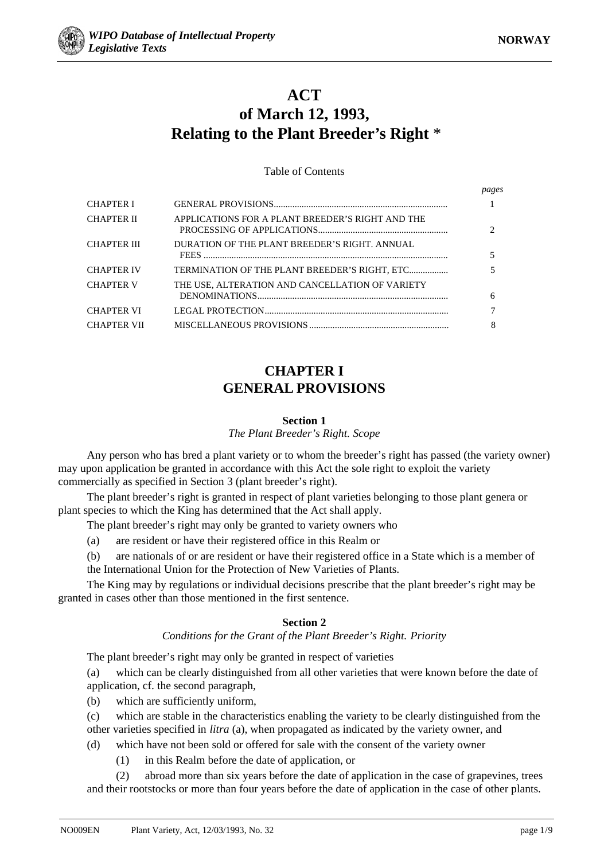*pages*



# **ACT of March 12, 1993, Relating to the Plant Breeder's Right** \*

Table of Contents

|                    |                                                  | $P^{\alpha}$ |
|--------------------|--------------------------------------------------|--------------|
| <b>CHAPTER I</b>   |                                                  |              |
| <b>CHAPTER II</b>  | APPLICATIONS FOR A PLANT BREEDER'S RIGHT AND THE |              |
| <b>CHAPTER III</b> | DURATION OF THE PLANT BREEDER'S RIGHT. ANNUAL    |              |
| <b>CHAPTER IV</b>  | TERMINATION OF THE PLANT BREEDER'S RIGHT, ETC    |              |
| <b>CHAPTER V</b>   | THE USE, ALTERATION AND CANCELLATION OF VARIETY  | 6            |
| <b>CHAPTER VI</b>  |                                                  |              |
| <b>CHAPTER VII</b> |                                                  |              |

# **CHAPTER I GENERAL PROVISIONS**

### **Section 1**

*The Plant Breeder's Right. Scope*

Any person who has bred a plant variety or to whom the breeder's right has passed (the variety owner) may upon application be granted in accordance with this Act the sole right to exploit the variety commercially as specified in Section 3 (plant breeder's right).

The plant breeder's right is granted in respect of plant varieties belonging to those plant genera or plant species to which the King has determined that the Act shall apply.

The plant breeder's right may only be granted to variety owners who

(a) are resident or have their registered office in this Realm or

(b) are nationals of or are resident or have their registered office in a State which is a member of the International Union for the Protection of New Varieties of Plants.

The King may by regulations or individual decisions prescribe that the plant breeder's right may be granted in cases other than those mentioned in the first sentence.

## **Section 2**

## *Conditions for the Grant of the Plant Breeder's Right. Priority*

The plant breeder's right may only be granted in respect of varieties

(a) which can be clearly distinguished from all other varieties that were known before the date of application, cf. the second paragraph,

(b) which are sufficiently uniform,

(c) which are stable in the characteristics enabling the variety to be clearly distinguished from the other varieties specified in *litra* (a), when propagated as indicated by the variety owner, and

- (d) which have not been sold or offered for sale with the consent of the variety owner
	- (1) in this Realm before the date of application, or

(2) abroad more than six years before the date of application in the case of grapevines, trees and their rootstocks or more than four years before the date of application in the case of other plants.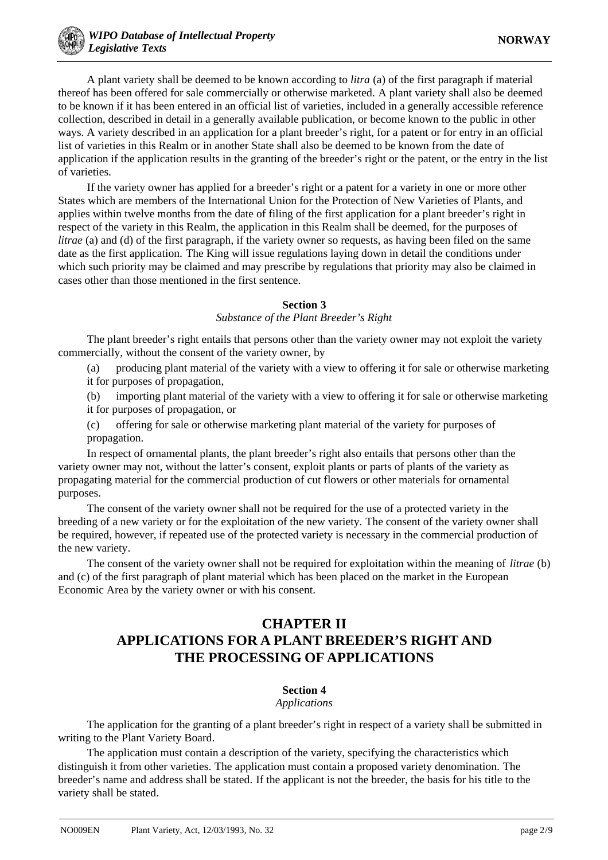A plant variety shall be deemed to be known according to *litra* (a) of the first paragraph if material thereof has been offered for sale commercially or otherwise marketed. A plant variety shall also be deemed to be known if it has been entered in an official list of varieties, included in a generally accessible reference collection, described in detail in a generally available publication, or become known to the public in other ways. A variety described in an application for a plant breeder's right, for a patent or for entry in an official list of varieties in this Realm or in another State shall also be deemed to be known from the date of application if the application results in the granting of the breeder's right or the patent, or the entry in the list of varieties.

If the variety owner has applied for a breeder's right or a patent for a variety in one or more other States which are members of the International Union for the Protection of New Varieties of Plants, and applies within twelve months from the date of filing of the first application for a plant breeder's right in respect of the variety in this Realm, the application in this Realm shall be deemed, for the purposes of *litrae* (a) and (d) of the first paragraph, if the variety owner so requests, as having been filed on the same date as the first application. The King will issue regulations laying down in detail the conditions under which such priority may be claimed and may prescribe by regulations that priority may also be claimed in cases other than those mentioned in the first sentence.

### **Section 3**

### *Substance of the Plant Breeder's Right*

The plant breeder's right entails that persons other than the variety owner may not exploit the variety commercially, without the consent of the variety owner, by

- (a) producing plant material of the variety with a view to offering it for sale or otherwise marketing it for purposes of propagation,
- (b) importing plant material of the variety with a view to offering it for sale or otherwise marketing it for purposes of propagation, or
- (c) offering for sale or otherwise marketing plant material of the variety for purposes of propagation.

In respect of ornamental plants, the plant breeder's right also entails that persons other than the variety owner may not, without the latter's consent, exploit plants or parts of plants of the variety as propagating material for the commercial production of cut flowers or other materials for ornamental purposes.

The consent of the variety owner shall not be required for the use of a protected variety in the breeding of a new variety or for the exploitation of the new variety. The consent of the variety owner shall be required, however, if repeated use of the protected variety is necessary in the commercial production of the new variety.

The consent of the variety owner shall not be required for exploitation within the meaning of *litrae* (b) and (c) of the first paragraph of plant material which has been placed on the market in the European Economic Area by the variety owner or with his consent.

# **CHAPTER II APPLICATIONS FOR A PLANT BREEDER'S RIGHT AND THE PROCESSING OF APPLICATIONS**

# **Section 4**

## *Applications*

The application for the granting of a plant breeder's right in respect of a variety shall be submitted in writing to the Plant Variety Board.

The application must contain a description of the variety, specifying the characteristics which distinguish it from other varieties. The application must contain a proposed variety denomination. The breeder's name and address shall be stated. If the applicant is not the breeder, the basis for his title to the variety shall be stated.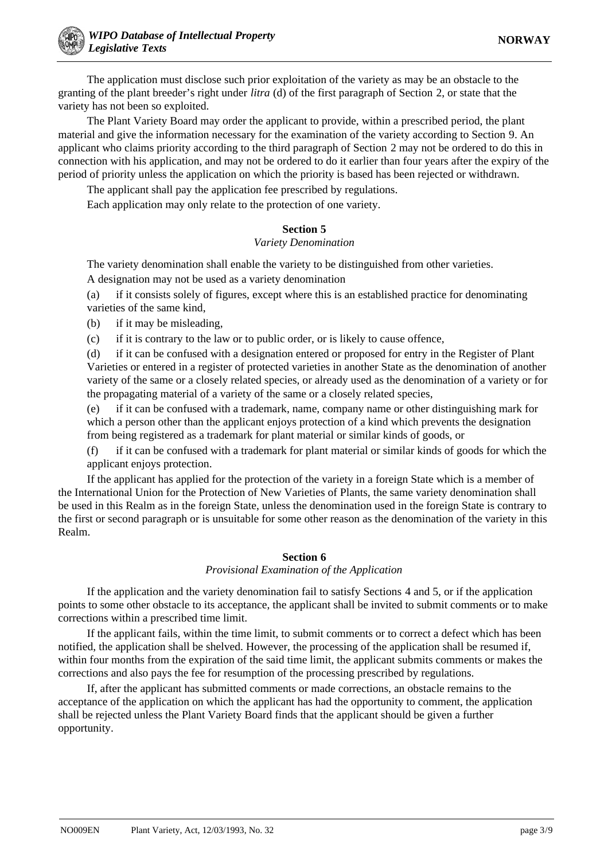The application must disclose such prior exploitation of the variety as may be an obstacle to the granting of the plant breeder's right under *litra* (d) of the first paragraph of Section 2, or state that the variety has not been so exploited.

The Plant Variety Board may order the applicant to provide, within a prescribed period, the plant material and give the information necessary for the examination of the variety according to Section 9. An applicant who claims priority according to the third paragraph of Section 2 may not be ordered to do this in connection with his application, and may not be ordered to do it earlier than four years after the expiry of the period of priority unless the application on which the priority is based has been rejected or withdrawn.

The applicant shall pay the application fee prescribed by regulations.

Each application may only relate to the protection of one variety.

## **Section 5**

## *Variety Denomination*

The variety denomination shall enable the variety to be distinguished from other varieties.

A designation may not be used as a variety denomination

(a) if it consists solely of figures, except where this is an established practice for denominating varieties of the same kind,

(b) if it may be misleading,

(c) if it is contrary to the law or to public order, or is likely to cause offence,

(d) if it can be confused with a designation entered or proposed for entry in the Register of Plant Varieties or entered in a register of protected varieties in another State as the denomination of another variety of the same or a closely related species, or already used as the denomination of a variety or for the propagating material of a variety of the same or a closely related species,

(e) if it can be confused with a trademark, name, company name or other distinguishing mark for which a person other than the applicant enjoys protection of a kind which prevents the designation from being registered as a trademark for plant material or similar kinds of goods, or

(f) if it can be confused with a trademark for plant material or similar kinds of goods for which the applicant enjoys protection.

If the applicant has applied for the protection of the variety in a foreign State which is a member of the International Union for the Protection of New Varieties of Plants, the same variety denomination shall be used in this Realm as in the foreign State, unless the denomination used in the foreign State is contrary to the first or second paragraph or is unsuitable for some other reason as the denomination of the variety in this Realm.

## **Section 6**

## *Provisional Examination of the Application*

If the application and the variety denomination fail to satisfy Sections 4 and 5, or if the application points to some other obstacle to its acceptance, the applicant shall be invited to submit comments or to make corrections within a prescribed time limit.

If the applicant fails, within the time limit, to submit comments or to correct a defect which has been notified, the application shall be shelved. However, the processing of the application shall be resumed if, within four months from the expiration of the said time limit, the applicant submits comments or makes the corrections and also pays the fee for resumption of the processing prescribed by regulations.

If, after the applicant has submitted comments or made corrections, an obstacle remains to the acceptance of the application on which the applicant has had the opportunity to comment, the application shall be rejected unless the Plant Variety Board finds that the applicant should be given a further opportunity.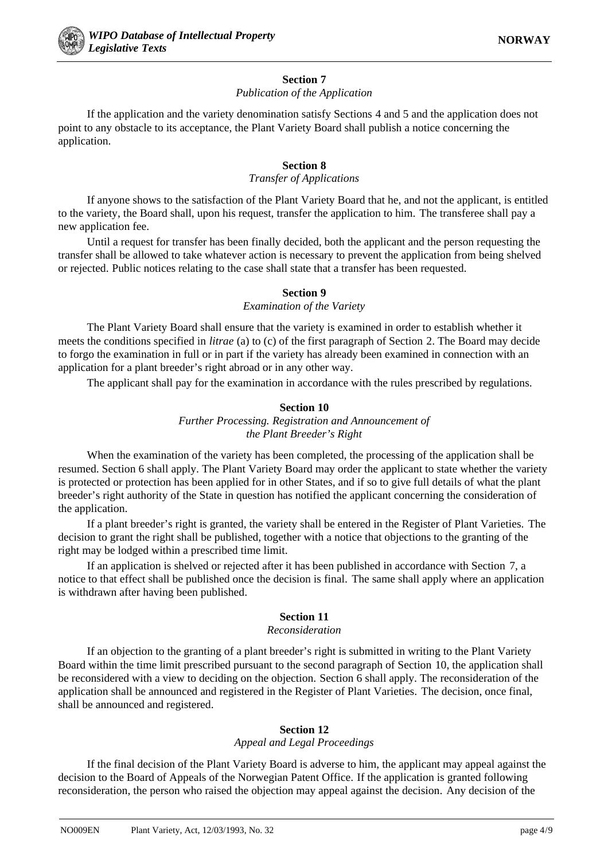

## **Section 7**

## *Publication of the Application*

If the application and the variety denomination satisfy Sections 4 and 5 and the application does not point to any obstacle to its acceptance, the Plant Variety Board shall publish a notice concerning the application.

## **Section 8**

## *Transfer of Applications*

If anyone shows to the satisfaction of the Plant Variety Board that he, and not the applicant, is entitled to the variety, the Board shall, upon his request, transfer the application to him. The transferee shall pay a new application fee.

Until a request for transfer has been finally decided, both the applicant and the person requesting the transfer shall be allowed to take whatever action is necessary to prevent the application from being shelved or rejected. Public notices relating to the case shall state that a transfer has been requested.

# **Section 9**

## *Examination of the Variety*

The Plant Variety Board shall ensure that the variety is examined in order to establish whether it meets the conditions specified in *litrae* (a) to (c) of the first paragraph of Section 2. The Board may decide to forgo the examination in full or in part if the variety has already been examined in connection with an application for a plant breeder's right abroad or in any other way.

The applicant shall pay for the examination in accordance with the rules prescribed by regulations.

## **Section 10**

# *Further Processing. Registration and Announcement of the Plant Breeder's Right*

When the examination of the variety has been completed, the processing of the application shall be resumed. Section 6 shall apply. The Plant Variety Board may order the applicant to state whether the variety is protected or protection has been applied for in other States, and if so to give full details of what the plant breeder's right authority of the State in question has notified the applicant concerning the consideration of the application.

If a plant breeder's right is granted, the variety shall be entered in the Register of Plant Varieties. The decision to grant the right shall be published, together with a notice that objections to the granting of the right may be lodged within a prescribed time limit.

If an application is shelved or rejected after it has been published in accordance with Section 7, a notice to that effect shall be published once the decision is final. The same shall apply where an application is withdrawn after having been published.

# **Section 11**

# *Reconsideration*

If an objection to the granting of a plant breeder's right is submitted in writing to the Plant Variety Board within the time limit prescribed pursuant to the second paragraph of Section 10, the application shall be reconsidered with a view to deciding on the objection. Section 6 shall apply. The reconsideration of the application shall be announced and registered in the Register of Plant Varieties. The decision, once final, shall be announced and registered.

# **Section 12**

## *Appeal and Legal Proceedings*

If the final decision of the Plant Variety Board is adverse to him, the applicant may appeal against the decision to the Board of Appeals of the Norwegian Patent Office. If the application is granted following reconsideration, the person who raised the objection may appeal against the decision. Any decision of the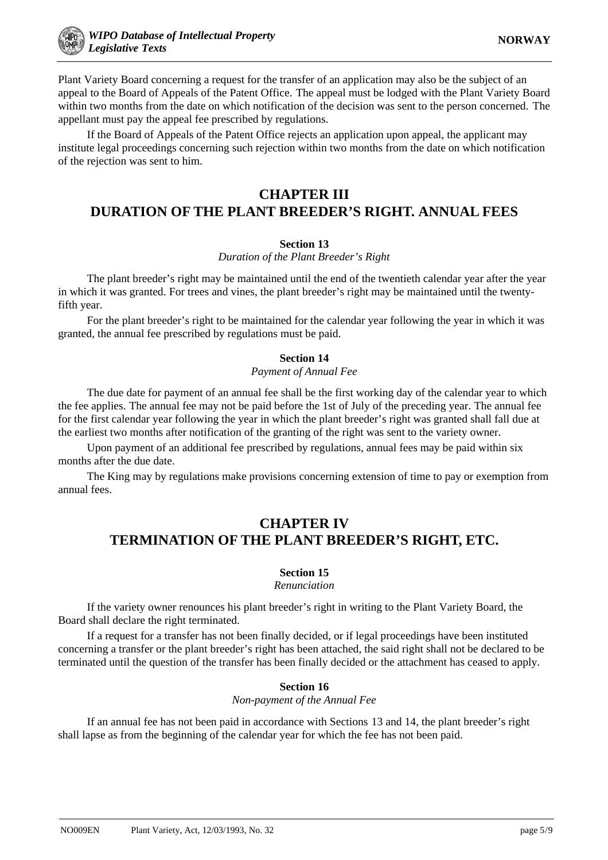Plant Variety Board concerning a request for the transfer of an application may also be the subject of an appeal to the Board of Appeals of the Patent Office. The appeal must be lodged with the Plant Variety Board within two months from the date on which notification of the decision was sent to the person concerned. The appellant must pay the appeal fee prescribed by regulations.

If the Board of Appeals of the Patent Office rejects an application upon appeal, the applicant may institute legal proceedings concerning such rejection within two months from the date on which notification of the rejection was sent to him.

# **CHAPTER III**

# **DURATION OF THE PLANT BREEDER'S RIGHT. ANNUAL FEES**

# **Section 13**

*Duration of the Plant Breeder's Right*

The plant breeder's right may be maintained until the end of the twentieth calendar year after the year in which it was granted. For trees and vines, the plant breeder's right may be maintained until the twentyfifth year.

For the plant breeder's right to be maintained for the calendar year following the year in which it was granted, the annual fee prescribed by regulations must be paid.

# **Section 14**

## *Payment of Annual Fee*

The due date for payment of an annual fee shall be the first working day of the calendar year to which the fee applies. The annual fee may not be paid before the 1st of July of the preceding year. The annual fee for the first calendar year following the year in which the plant breeder's right was granted shall fall due at the earliest two months after notification of the granting of the right was sent to the variety owner.

Upon payment of an additional fee prescribed by regulations, annual fees may be paid within six months after the due date.

The King may by regulations make provisions concerning extension of time to pay or exemption from annual fees.

# **CHAPTER IV TERMINATION OF THE PLANT BREEDER'S RIGHT, ETC.**

# **Section 15**

## *Renunciation*

If the variety owner renounces his plant breeder's right in writing to the Plant Variety Board, the Board shall declare the right terminated.

If a request for a transfer has not been finally decided, or if legal proceedings have been instituted concerning a transfer or the plant breeder's right has been attached, the said right shall not be declared to be terminated until the question of the transfer has been finally decided or the attachment has ceased to apply.

# **Section 16**

*Non-payment of the Annual Fee*

If an annual fee has not been paid in accordance with Sections 13 and 14, the plant breeder's right shall lapse as from the beginning of the calendar year for which the fee has not been paid.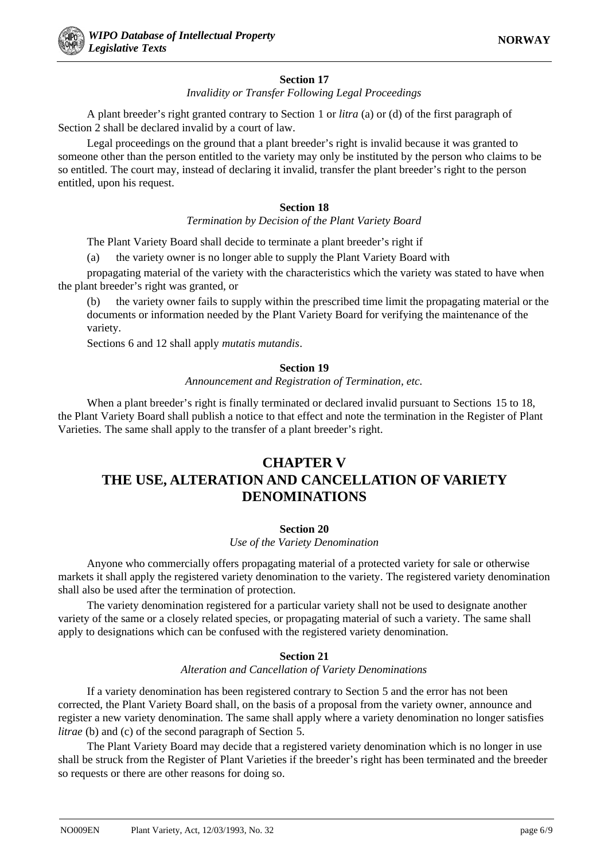# **Section 17**

*Invalidity or Transfer Following Legal Proceedings*

A plant breeder's right granted contrary to Section 1 or *litra* (a) or (d) of the first paragraph of Section 2 shall be declared invalid by a court of law.

Legal proceedings on the ground that a plant breeder's right is invalid because it was granted to someone other than the person entitled to the variety may only be instituted by the person who claims to be so entitled. The court may, instead of declaring it invalid, transfer the plant breeder's right to the person entitled, upon his request.

# **Section 18**

## *Termination by Decision of the Plant Variety Board*

The Plant Variety Board shall decide to terminate a plant breeder's right if

(a) the variety owner is no longer able to supply the Plant Variety Board with

propagating material of the variety with the characteristics which the variety was stated to have when the plant breeder's right was granted, or

(b) the variety owner fails to supply within the prescribed time limit the propagating material or the documents or information needed by the Plant Variety Board for verifying the maintenance of the variety.

Sections 6 and 12 shall apply *mutatis mutandis*.

# **Section 19**

*Announcement and Registration of Termination, etc.*

When a plant breeder's right is finally terminated or declared invalid pursuant to Sections 15 to 18, the Plant Variety Board shall publish a notice to that effect and note the termination in the Register of Plant Varieties. The same shall apply to the transfer of a plant breeder's right.

# **CHAPTER V THE USE, ALTERATION AND CANCELLATION OF VARIETY DENOMINATIONS**

# **Section 20**

*Use of the Variety Denomination*

Anyone who commercially offers propagating material of a protected variety for sale or otherwise markets it shall apply the registered variety denomination to the variety. The registered variety denomination shall also be used after the termination of protection.

The variety denomination registered for a particular variety shall not be used to designate another variety of the same or a closely related species, or propagating material of such a variety. The same shall apply to designations which can be confused with the registered variety denomination.

# **Section 21**

## *Alteration and Cancellation of Variety Denominations*

If a variety denomination has been registered contrary to Section 5 and the error has not been corrected, the Plant Variety Board shall, on the basis of a proposal from the variety owner, announce and register a new variety denomination. The same shall apply where a variety denomination no longer satisfies *litrae* (b) and (c) of the second paragraph of Section 5.

The Plant Variety Board may decide that a registered variety denomination which is no longer in use shall be struck from the Register of Plant Varieties if the breeder's right has been terminated and the breeder so requests or there are other reasons for doing so.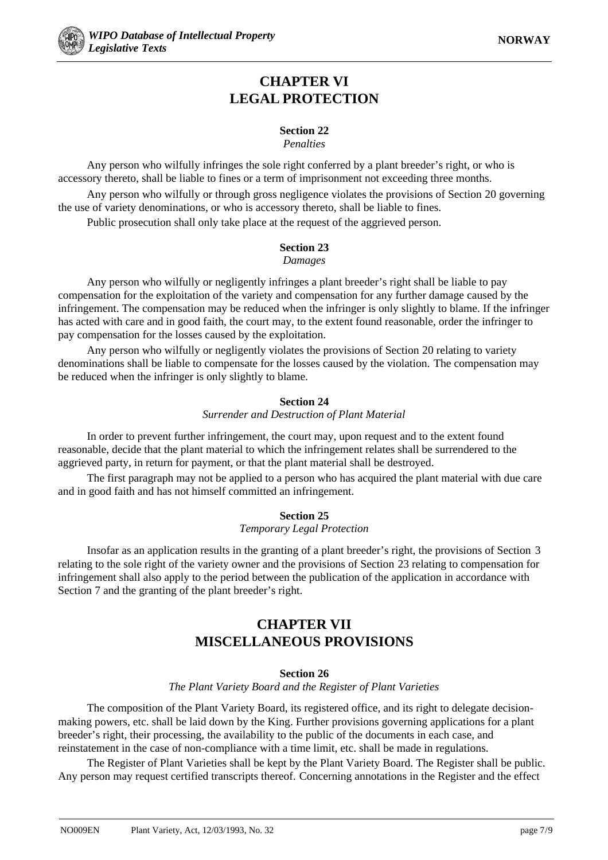# **CHAPTER VI LEGAL PROTECTION**

# **Section 22**

# *Penalties*

Any person who wilfully infringes the sole right conferred by a plant breeder's right, or who is accessory thereto, shall be liable to fines or a term of imprisonment not exceeding three months. Any person who wilfully or through gross negligence violates the provisions of Section 20 governing the use of variety denominations, or who is accessory thereto, shall be liable to fines.

Public prosecution shall only take place at the request of the aggrieved person.

## **Section 23** *Damages*

Any person who wilfully or negligently infringes a plant breeder's right shall be liable to pay compensation for the exploitation of the variety and compensation for any further damage caused by the infringement. The compensation may be reduced when the infringer is only slightly to blame. If the infringer has acted with care and in good faith, the court may, to the extent found reasonable, order the infringer to pay compensation for the losses caused by the exploitation.

Any person who wilfully or negligently violates the provisions of Section 20 relating to variety denominations shall be liable to compensate for the losses caused by the violation. The compensation may be reduced when the infringer is only slightly to blame.

# **Section 24**

## *Surrender and Destruction of Plant Material*

In order to prevent further infringement, the court may, upon request and to the extent found reasonable, decide that the plant material to which the infringement relates shall be surrendered to the aggrieved party, in return for payment, or that the plant material shall be destroyed.

The first paragraph may not be applied to a person who has acquired the plant material with due care and in good faith and has not himself committed an infringement.

# **Section 25**

## *Temporary Legal Protection*

Insofar as an application results in the granting of a plant breeder's right, the provisions of Section 3 relating to the sole right of the variety owner and the provisions of Section 23 relating to compensation for infringement shall also apply to the period between the publication of the application in accordance with Section 7 and the granting of the plant breeder's right.

# **CHAPTER VII MISCELLANEOUS PROVISIONS**

# **Section 26**

*The Plant Variety Board and the Register of Plant Varieties*

The composition of the Plant Variety Board, its registered office, and its right to delegate decisionmaking powers, etc. shall be laid down by the King. Further provisions governing applications for a plant breeder's right, their processing, the availability to the public of the documents in each case, and reinstatement in the case of non-compliance with a time limit, etc. shall be made in regulations.

The Register of Plant Varieties shall be kept by the Plant Variety Board. The Register shall be public. Any person may request certified transcripts thereof. Concerning annotations in the Register and the effect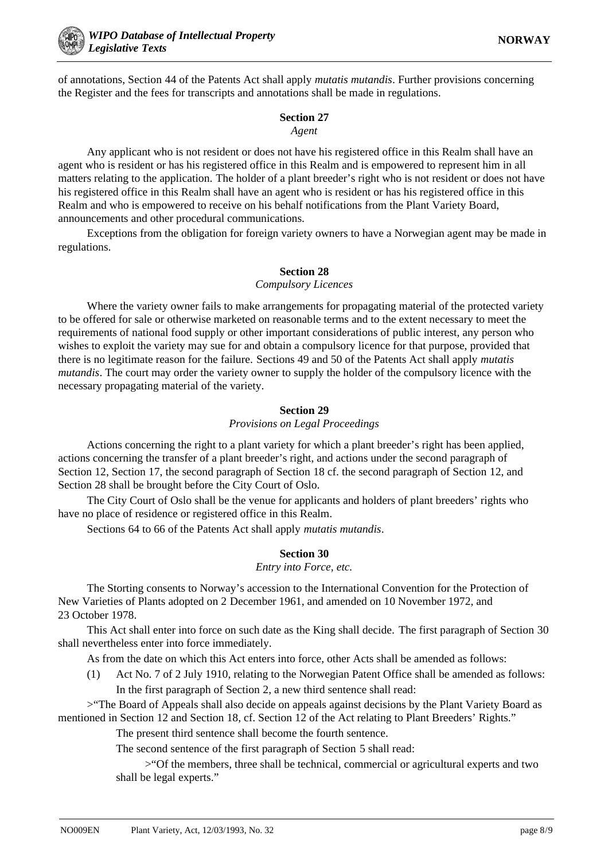of annotations, Section 44 of the Patents Act shall apply *mutatis mutandis*. Further provisions concerning the Register and the fees for transcripts and annotations shall be made in regulations.

### **Section 27** *Agent*

Any applicant who is not resident or does not have his registered office in this Realm shall have an agent who is resident or has his registered office in this Realm and is empowered to represent him in all matters relating to the application. The holder of a plant breeder's right who is not resident or does not have his registered office in this Realm shall have an agent who is resident or has his registered office in this Realm and who is empowered to receive on his behalf notifications from the Plant Variety Board, announcements and other procedural communications.

Exceptions from the obligation for foreign variety owners to have a Norwegian agent may be made in regulations.

# **Section 28**

## *Compulsory Licences*

Where the variety owner fails to make arrangements for propagating material of the protected variety to be offered for sale or otherwise marketed on reasonable terms and to the extent necessary to meet the requirements of national food supply or other important considerations of public interest, any person who wishes to exploit the variety may sue for and obtain a compulsory licence for that purpose, provided that there is no legitimate reason for the failure. Sections 49 and 50 of the Patents Act shall apply *mutatis mutandis*. The court may order the variety owner to supply the holder of the compulsory licence with the necessary propagating material of the variety.

# **Section 29**

## *Provisions on Legal Proceedings*

Actions concerning the right to a plant variety for which a plant breeder's right has been applied, actions concerning the transfer of a plant breeder's right, and actions under the second paragraph of Section 12, Section 17, the second paragraph of Section 18 cf. the second paragraph of Section 12, and Section 28 shall be brought before the City Court of Oslo.

The City Court of Oslo shall be the venue for applicants and holders of plant breeders' rights who have no place of residence or registered office in this Realm.

Sections 64 to 66 of the Patents Act shall apply *mutatis mutandis*.

# **Section 30**

## *Entry into Force, etc.*

The Storting consents to Norway's accession to the International Convention for the Protection of New Varieties of Plants adopted on 2 December 1961, and amended on 10 November 1972, and 23 October 1978.

This Act shall enter into force on such date as the King shall decide. The first paragraph of Section 30 shall nevertheless enter into force immediately.

As from the date on which this Act enters into force, other Acts shall be amended as follows:

(1) Act No. 7 of 2 July 1910, relating to the Norwegian Patent Office shall be amended as follows: In the first paragraph of Section 2, a new third sentence shall read:

>"The Board of Appeals shall also decide on appeals against decisions by the Plant Variety Board as mentioned in Section 12 and Section 18, cf. Section 12 of the Act relating to Plant Breeders' Rights."

The present third sentence shall become the fourth sentence.

The second sentence of the first paragraph of Section 5 shall read:

>"Of the members, three shall be technical, commercial or agricultural experts and two shall be legal experts."